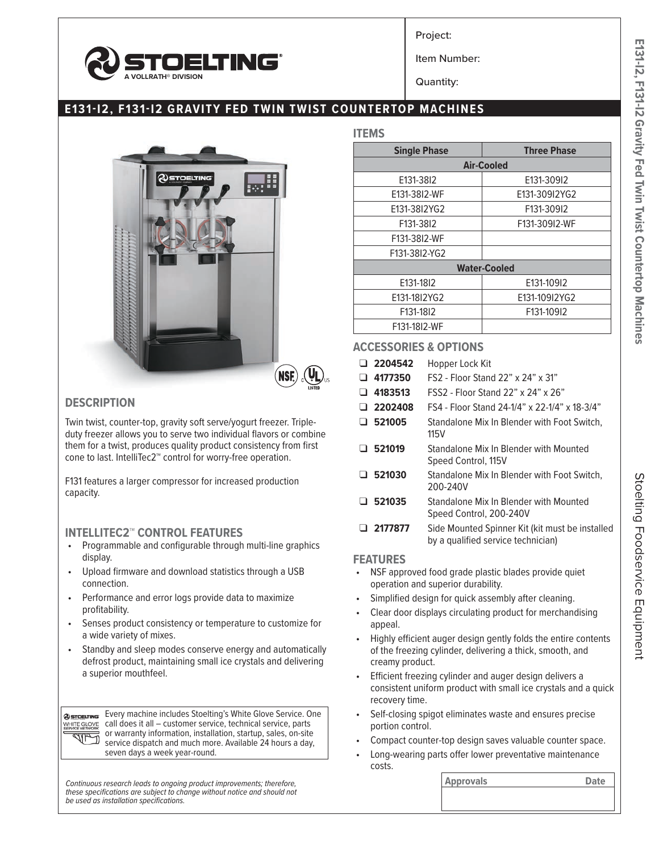

Project:

Item Number:

Quantity:

## **E131-I2, F131-I2 GRAVITY FED TWIN TWIST COUNTERTOP MACHINES**



### **DESCRIPTION**

Twin twist, counter-top, gravity soft serve/yogurt freezer. Tripleduty freezer allows you to serve two individual flavors or combine them for a twist, produces quality product consistency from first cone to last. IntelliTec2™ control for worry-free operation.

F131 features a larger compressor for increased production capacity.

# **INTELLITEC2<sup>™</sup> CONTROL FEATURES**<br>• Programmable and configurable through

- Programmable and configurable through multi-line graphics display.
- Upload firmware and download statistics through a USB connection.
- Performance and error logs provide data to maximize profitability.
- Senses product consistency or temperature to customize for a wide variety of mixes.
- Standby and sleep modes conserve energy and automatically defrost product, maintaining small ice crystals and delivering a superior mouthfeel.

Every machine includes Stoelting's White Glove Service. One **@STOELTING** WHITE GLOVE call does it all – customer service, technical service, parts or warranty information, installation, startup, sales, on-site 刁 service dispatch and much more. Available 24 hours a day, seven days a week year-round.

**Continuous research leads to ongoing product improvements; therefore, <b>Approvals Approvals Approvals Date** *these specifications are subject to change without notice and should not be used as installation specifications.*

| $\sim$ |
|--------|
|--------|

| <b>Single Phase</b> | <b>Three Phase</b> |  |  |  |  |
|---------------------|--------------------|--|--|--|--|
|                     | <b>Air-Cooled</b>  |  |  |  |  |
| E131-3812           | E131-309I2         |  |  |  |  |
| E131-38I2-WF        | E131-309I2YG2      |  |  |  |  |
| E131-38I2YG2        | F131-309I2         |  |  |  |  |
| F131-3812           | F131-309I2-WF      |  |  |  |  |
| F131-38I2-WF        |                    |  |  |  |  |
| F131-38I2-YG2       |                    |  |  |  |  |
| <b>Water-Cooled</b> |                    |  |  |  |  |
| E131-1812           | E131-10912         |  |  |  |  |
| E131-18I2YG2        | E131-109I2YG2      |  |  |  |  |
| F131-1812           | F131-109I2         |  |  |  |  |
| F131-18I2-WF        |                    |  |  |  |  |

#### **ACCESSORIES & OPTIONS**

|  | □ 2204542 Hopper Lock Kit                         |
|--|---------------------------------------------------|
|  | $\Box$ 4177350 FS2 - Floor Stand 22" x 24" x 31"  |
|  | $\Box$ 4183513 FSS2 - Floor Stand 22" x 24" x 26" |

- ❑ **2202408** FS4 Floor Stand 24-1/4" x 22-1/4" x 18-3/4"
- ❑ **521005** Standalone Mix In Blender with Foot Switch, 115V
- ❑ **521019** Standalone Mix In Blender with Mounted Speed Control, 115V
- ❑ **521030** Standalone Mix In Blender with Foot Switch, 200-240V
- ❑ **521035** Standalone Mix In Blender with Mounted Speed Control, 200-240V
- ❑ **2177877** Side Mounted Spinner Kit (kit must be installed by a qualified service technician)

#### **FEATURES**

- NSF approved food grade plastic blades provide quiet operation and superior durability.
- Simplified design for quick assembly after cleaning.
- Clear door displays circulating product for merchandising appeal.
- Highly efficient auger design gently folds the entire contents of the freezing cylinder, delivering a thick, smooth, and creamy product.
- Efficient freezing cylinder and auger design delivers a consistent uniform product with small ice crystals and a quick recovery time.
- Self-closing spigot eliminates waste and ensures precise portion control.
- Compact counter-top design saves valuable counter space.
- Long-wearing parts offer lower preventative maintenance costs.